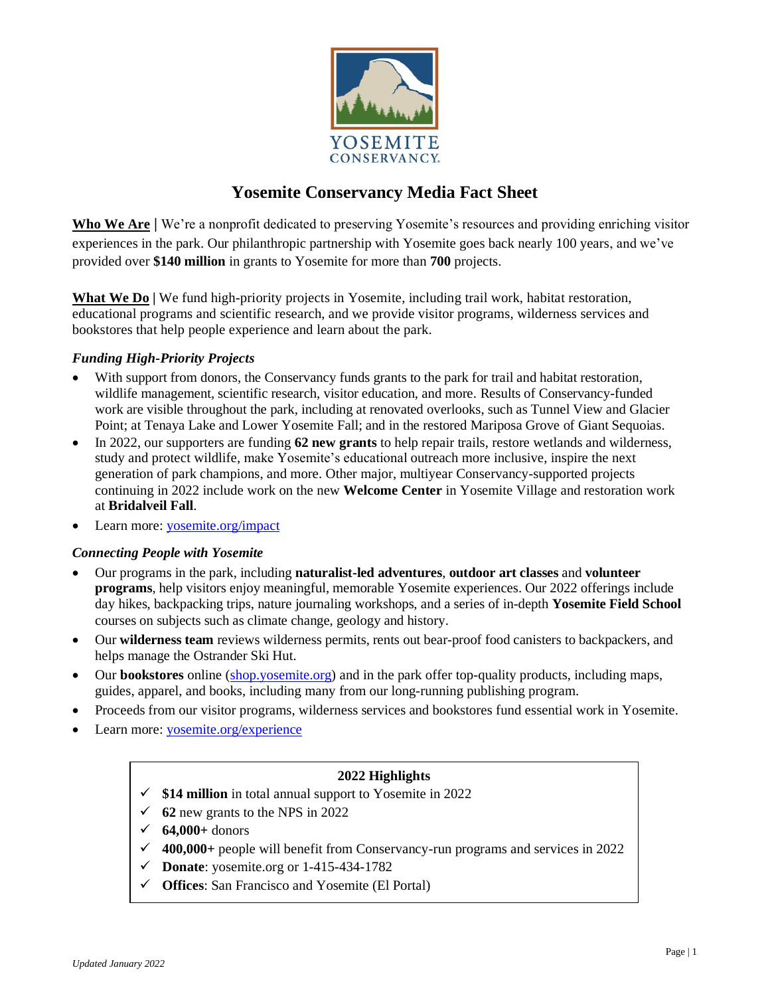

# **Yosemite Conservancy Media Fact Sheet**

**Who We Are |** We're a nonprofit dedicated to preserving Yosemite's resources and providing enriching visitor experiences in the park. Our philanthropic partnership with Yosemite goes back nearly 100 years, and we've provided over **\$140 million** in grants to Yosemite for more than **700** projects.

**What We Do |** We fund high-priority projects in Yosemite, including trail work, habitat restoration, educational programs and scientific research, and we provide visitor programs, wilderness services and bookstores that help people experience and learn about the park.

## *Funding High-Priority Projects*

- With support from donors, the Conservancy funds grants to the park for trail and habitat restoration, wildlife management, scientific research, visitor education, and more. Results of Conservancy-funded work are visible throughout the park, including at renovated overlooks, such as Tunnel View and Glacier Point; at Tenaya Lake and Lower Yosemite Fall; and in the restored Mariposa Grove of Giant Sequoias.
- In 2022, our supporters are funding **62 new grants** to help repair trails, restore wetlands and wilderness, study and protect wildlife, make Yosemite's educational outreach more inclusive, inspire the next generation of park champions, and more. Other major, multiyear Conservancy-supported projects continuing in 2022 include work on the new **Welcome Center** in Yosemite Village and restoration work at **Bridalveil Fall**.
- Learn more: [yosemite.org/impact](https://yosemite.org/impact)

#### *Connecting People with Yosemite*

- Our programs in the park, including **naturalist-led adventures**, **outdoor art classes** and **volunteer programs**, help visitors enjoy meaningful, memorable Yosemite experiences. Our 2022 offerings include day hikes, backpacking trips, nature journaling workshops, and a series of in-depth **Yosemite Field School** courses on subjects such as climate change, geology and history.
- Our **wilderness team** reviews wilderness permits, rents out bear-proof food canisters to backpackers, and helps manage the Ostrander Ski Hut.
- Our **bookstores** online [\(shop.yosemite.org\)](https://shop.yosemite.org/) and in the park offer top-quality products, including maps, guides, apparel, and books, including many from our long-running publishing program.
- Proceeds from our visitor programs, wilderness services and bookstores fund essential work in Yosemite.
- Learn more: [yosemite.org/experience](https://yosemite.org/experience)

## **2022 Highlights**

- ✓ **\$14 million** in total annual support to Yosemite in 2022
- $\checkmark$  **62** new grants to the NPS in 2022
- ✓ **64,000+** donors
- ✓ **400,000+** people will benefit from Conservancy-run programs and services in 2022
- ✓ **Donate**: yosemite.org or 1-415-434-1782
- ✓ **Offices**: San Francisco and Yosemite (El Portal)